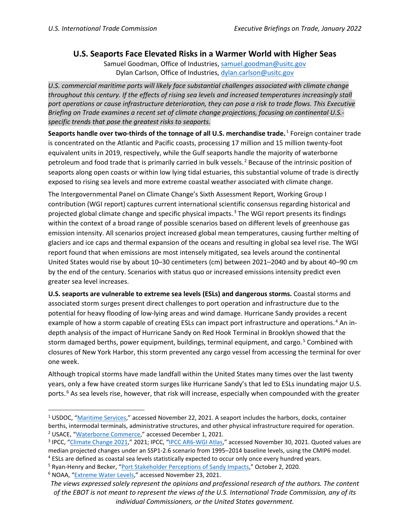## **U.S. Seaports Face Elevated Risks in a Warmer World with Higher Seas**

Samuel Goodman, Office of Industries, [samuel.goodman@usitc.gov](mailto:samuel.goodman@usitc.gov) Dylan Carlson, Office of Industries, [dylan.carlson@usitc.gov](mailto:dylan.carlson@usitc.gov)

*U.S. commercial maritime ports will likely face substantial challenges associated with climate change throughout this century. If the effects of rising sea levels and increased temperatures increasingly stall port operations or cause infrastructure deterioration, they can pose a risk to trade flows. This Executive Briefing on Trade examines a recent set of climate change projections, focusing on continental U.S. specific trends that pose the greatest risks to seaports.*

**Seaports handle over two-thirds of the tonnage of all U.S. merchandise trade.<sup>1</sup> Foreign container trade** is concentrated on the Atlantic and Pacific coasts, processing 17 million and 15 million twenty-foot equivalent units in 2019, respectively, while the Gulf seaports handle the majority of waterborne petroleum and food trade that is primarily carried in bulk vessels.<sup>2</sup> Because of the intrinsic position of seaports along open coasts or within low lying tidal estuaries, this substantial volume of trade is directly exposed to rising sea levels and more extreme coastal weather associated with climate change.

The Intergovernmental Panel on Climate Change's Sixth Assessment Report, Working Group I contribution (WGI report) captures current international scientific consensus regarding historical and projected global climate change and specific physical impacts.<sup>3</sup> The WGI report presents its findings within the context of a broad range of possible scenarios based on different levels of greenhouse gas emission intensity. All scenarios project increased global mean temperatures, causing further melting of glaciers and ice caps and thermal expansion of the oceans and resulting in global sea level rise. The WGI report found that when emissions are most intensely mitigated, sea levels around the continental United States would rise by about 10–30 centimeters (cm) between 2021–2040 and by about 40–90 cm by the end of the century. Scenarios with status quo or increased emissions intensity predict even greater sea level increases.

**U.S. seaports are vulnerable to extreme sea levels (ESLs) and dangerous storms.** Coastal storms and associated storm surges present direct challenges to port operation and infrastructure due to the potential for heavy flooding of low-lying areas and wind damage. Hurricane Sandy provides a recent example of how a storm capable of creating ESLs can impact port infrastructure and operations.<sup>4</sup> An indepth analysis of the impact of Hurricane Sandy on Red Hook Terminal in Brooklyn showed that the storm damaged berths, power equipment, buildings, terminal equipment, and cargo.<sup>5</sup> Combined with closures of New York Harbor, this storm prevented any cargo vessel from accessing the terminal for over one week.

Although tropical storms have made landfall within the United States many times over the last twenty years, only a few have created storm surges like Hurricane Sandy's that led to ESLs inundating major U.S. ports.<sup>6</sup> As sea levels rise, however, that risk will increase, especially when compounded with the greater

 $1$  USDOC, ["Maritime Services,](https://www.trade.gov/maritime-services-trade-data)" accessed November 22, 2021. A seaport includes the harbors, docks, container berths, intermodal terminals, administrative structures, and other physical infrastructure required for operation. <sup>2</sup> USACE, ["Waterborne Commerce,](https://www.iwr.usace.army.mil/About/Technical-Centers/WCSC-Waterborne-Commerce-Statistics-Center-2/WCSC-Waterborne-Commerce/)" accessed December 1, 2021.

<sup>3</sup> IPCC, ["Climate Change 2021,](https://www.ipcc.ch/report/ar6/wg1/)" 2021; IPCC, ["IPCC AR6-WGI Atlas,](https://interactive-atlas.ipcc.ch/)" accessed November 30, 2021. Quoted values are median projected changes under an SSP1-2.6 scenario from 1995–2014 baseline levels, using the CMIP6 model.<br><sup>4</sup> ESLs are defined as coastal sea levels statistically expected to occur only once every hundred years.

<sup>&</sup>lt;sup>5</sup> Ryan-Henry and Becker, ["Port Stakeholder Perceptions of Sandy Impacts,](https://doi.org/10.1080/03088839.2020.1729434)" October 2, 2020.

<sup>6</sup> NOAA, ["Extreme Water Levels,](https://tidesandcurrents.noaa.gov/est/)" accessed November 23, 2021.

*The views expressed solely represent the opinions and professional research of the authors. The content of the EBOT is not meant to represent the views of the U.S. International Trade Commission, any of its individual Commissioners, or the United States government.*